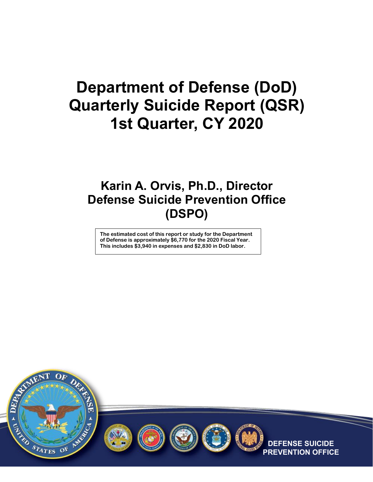# **Department of Defense (DoD) Quarterly Suicide Report (QSR) 1st Quarter, CY 2020**

### **Karin A. Orvis, Ph.D., Director Defense Suicide Prevention Office (DSPO)**

**The estimated cost of this report or study for the Department of Defense is approximately \$6,770 for the 2020 Fiscal Year. This includes \$3,940 in expenses and \$2,830 in DoD labor.**









**SUICIDE ON OFFICE**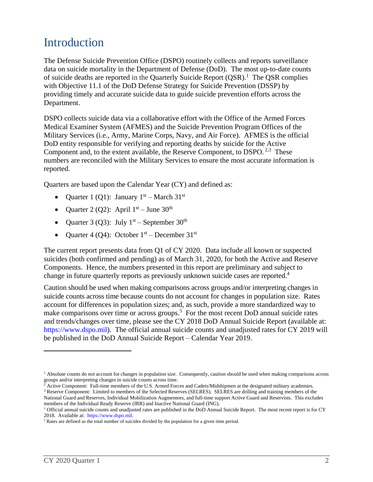### Introduction

The Defense Suicide Prevention Office (DSPO) routinely collects and reports surveillance data on suicide mortality in the Department of Defense (DoD). The most up-to-date counts of suicide deaths are reported in the Quarterly Suicide Report  $(QSR)$ .<sup>1</sup> The QSR complies with Objective 11.1 of the DoD Defense Strategy for Suicide Prevention (DSSP) by providing timely and accurate suicide data to guide suicide prevention efforts across the Department.

DSPO collects suicide data via a collaborative effort with the Office of the Armed Forces Medical Examiner System (AFMES) and the Suicide Prevention Program Offices of the Military Services (i.e., Army, Marine Corps, Navy, and Air Force). AFMES is the official DoD entity responsible for verifying and reporting deaths by suicide for the Active Component and, to the extent available, the Reserve Component, to DSPO.  $2,3$  These numbers are reconciled with the Military Services to ensure the most accurate information is reported.

Quarters are based upon the Calendar Year (CY) and defined as:

- Quarter 1 (Q1): January  $1<sup>st</sup>$  March 31<sup>st</sup>
- Quarter 2 (Q2): April  $1<sup>st</sup>$  June 30<sup>th</sup>
- Quarter 3 (Q3): July  $1<sup>st</sup>$  September 30<sup>th</sup>
- Quarter 4 (Q4): October  $1<sup>st</sup>$  December  $31<sup>st</sup>$

The current report presents data from Q1 of CY 2020. Data include all known or suspected suicides (both confirmed and pending) as of March 31, 2020, for both the Active and Reserve Components. Hence, the numbers presented in this report are preliminary and subject to change in future quarterly reports as previously unknown suicide cases are reported. 4

Caution should be used when making comparisons across groups and/or interpreting changes in suicide counts across time because counts do not account for changes in population size. Rates account for differences in population sizes; and, as such, provide a more standardized way to make comparisons over time or across groups.<sup>5</sup> For the most recent DoD annual suicide rates and trends/changes over time, please see the CY 2018 DoD Annual Suicide Report (available at: [https://www.dspo.mil\)](https://www.dspo.mil/). The official annual suicide counts and unadjusted rates for CY 2019 will be published in the DoD Annual Suicide Report – Calendar Year 2019.

 $\overline{a}$ 

<sup>&</sup>lt;sup>1</sup> Absolute counts do not account for changes in population size. Consequently, caution should be used when making comparisons across groups and/or interpreting changes in suicide counts across time.

<sup>&</sup>lt;sup>2</sup> Active Component: Full-time members of the U.S. Armed Forces and Cadets/Midshipmen at the designated military academies. <sup>3</sup> Reserve Component: Limited to members of the Selected Reserves (SELRES). SELRES are drilling and training members of the

National Guard and Reserves, Individual Mobilization Augmentees, and full-time support Active Guard and Reservists. This excludes members of the Individual Ready Reserve (IRR) and Inactive National Guard (ING).

<sup>4</sup> Official annual suicide counts and unadjusted rates are published in the DoD Annual Suicide Report. The most recent report is for CY 2018. Available at: [https://www.dspo.mil.](https://www.dspo.mil/)

 $5$  Rates are defined as the total number of suicides divided by the population for a given time period.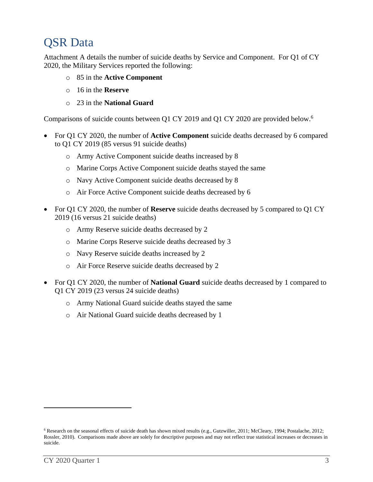#### QSR Data

Attachment A details the number of suicide deaths by Service and Component. For Q1 of CY 2020, the Military Services reported the following:

- o 85 in the **Active Component**
- o 16 in the **Reserve**
- o 23 in the **National Guard**

Comparisons of suicide counts between Q1 CY 2019 and Q1 CY 2020 are provided below.<sup>6</sup>

- For Q1 CY 2020, the number of **Active Component** suicide deaths decreased by 6 compared to Q1 CY 2019 (85 versus 91 suicide deaths)
	- o Army Active Component suicide deaths increased by 8
	- o Marine Corps Active Component suicide deaths stayed the same
	- o Navy Active Component suicide deaths decreased by 8
	- o Air Force Active Component suicide deaths decreased by 6
- For Q1 CY 2020, the number of **Reserve** suicide deaths decreased by 5 compared to Q1 CY 2019 (16 versus 21 suicide deaths)
	- o Army Reserve suicide deaths decreased by 2
	- o Marine Corps Reserve suicide deaths decreased by 3
	- o Navy Reserve suicide deaths increased by 2
	- o Air Force Reserve suicide deaths decreased by 2
- For Q1 CY 2020, the number of **National Guard** suicide deaths decreased by 1 compared to Q1 CY 2019 (23 versus 24 suicide deaths)
	- o Army National Guard suicide deaths stayed the same
	- o Air National Guard suicide deaths decreased by 1

 $\overline{a}$ 

<sup>6</sup> Research on the seasonal effects of suicide death has shown mixed results (e.g., Gutzwiller, 2011; McCleary, 1994; Postalache, 2012; Rossler, 2010). Comparisons made above are solely for descriptive purposes and may not reflect true statistical increases or decreases in suicide.